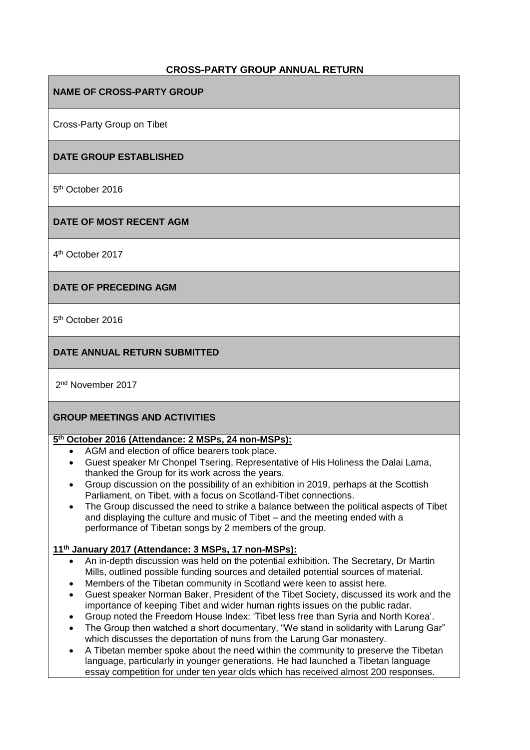# **CROSS-PARTY GROUP ANNUAL RETURN**

### **NAME OF CROSS-PARTY GROUP**

Cross-Party Group on Tibet

### **DATE GROUP ESTABLISHED**

5<sup>th</sup> October 2016

### **DATE OF MOST RECENT AGM**

4 th October 2017

### **DATE OF PRECEDING AGM**

5<sup>th</sup> October 2016

## **DATE ANNUAL RETURN SUBMITTED**

2<sup>nd</sup> November 2017

### **GROUP MEETINGS AND ACTIVITIES**

### **5 th October 2016 (Attendance: 2 MSPs, 24 non-MSPs):**

- AGM and election of office bearers took place.
- Guest speaker Mr Chonpel Tsering, Representative of His Holiness the Dalai Lama, thanked the Group for its work across the years.
- Group discussion on the possibility of an exhibition in 2019, perhaps at the Scottish Parliament, on Tibet, with a focus on Scotland-Tibet connections.
- The Group discussed the need to strike a balance between the political aspects of Tibet and displaying the culture and music of Tibet – and the meeting ended with a performance of Tibetan songs by 2 members of the group.

### **11th January 2017 (Attendance: 3 MSPs, 17 non-MSPs):**

- An in-depth discussion was held on the potential exhibition. The Secretary, Dr Martin Mills, outlined possible funding sources and detailed potential sources of material.
- Members of the Tibetan community in Scotland were keen to assist here.
- Guest speaker Norman Baker, President of the Tibet Society, discussed its work and the importance of keeping Tibet and wider human rights issues on the public radar.
- Group noted the Freedom House Index: 'Tibet less free than Syria and North Korea'.
- The Group then watched a short documentary, "We stand in solidarity with Larung Gar" which discusses the deportation of nuns from the Larung Gar monastery.
- A Tibetan member spoke about the need within the community to preserve the Tibetan language, particularly in younger generations. He had launched a Tibetan language essay competition for under ten year olds which has received almost 200 responses.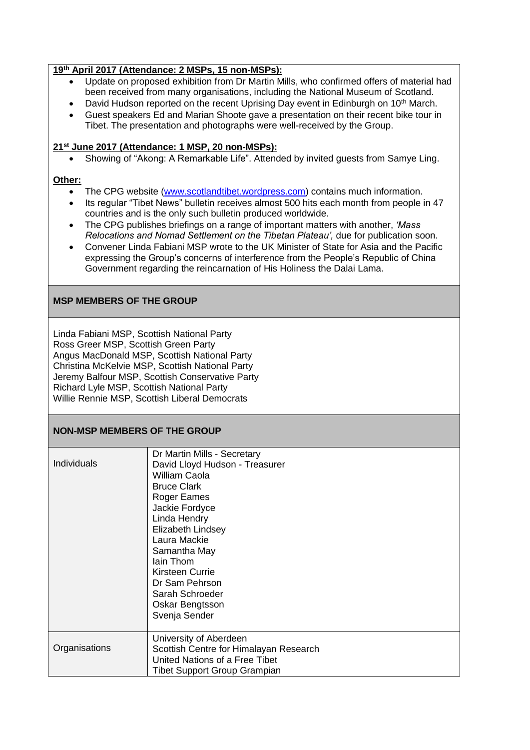### **19th April 2017 (Attendance: 2 MSPs, 15 non-MSPs):**

- Update on proposed exhibition from Dr Martin Mills, who confirmed offers of material had been received from many organisations, including the National Museum of Scotland.
- David Hudson reported on the recent Uprising Day event in Edinburgh on 10<sup>th</sup> March.
- Guest speakers Ed and Marian Shoote gave a presentation on their recent bike tour in Tibet. The presentation and photographs were well-received by the Group.

#### **21st June 2017 (Attendance: 1 MSP, 20 non-MSPs):**

Showing of "Akong: A Remarkable Life". Attended by invited guests from Samye Ling.

#### **Other:**

- The CPG website [\(www.scotlandtibet.wordpress.com\)](http://www.scotlandtibet.wordpress.com/) contains much information.
- Its regular "Tibet News" bulletin receives almost 500 hits each month from people in 47 countries and is the only such bulletin produced worldwide.
- The CPG publishes briefings on a range of important matters with another, *'Mass Relocations and Nomad Settlement on the Tibetan Plateau',* due for publication soon.
- Convener Linda Fabiani MSP wrote to the UK Minister of State for Asia and the Pacific expressing the Group's concerns of interference from the People's Republic of China Government regarding the reincarnation of His Holiness the Dalai Lama.

## **MSP MEMBERS OF THE GROUP**

Linda Fabiani MSP, Scottish National Party Ross Greer MSP, Scottish Green Party Angus MacDonald MSP, Scottish National Party Christina McKelvie MSP, Scottish National Party Jeremy Balfour MSP, Scottish Conservative Party Richard Lyle MSP, Scottish National Party Willie Rennie MSP, Scottish Liberal Democrats

### **NON-MSP MEMBERS OF THE GROUP**

| Individuals   | Dr Martin Mills - Secretary<br>David Lloyd Hudson - Treasurer<br>William Caola<br><b>Bruce Clark</b><br>Roger Eames<br>Jackie Fordyce<br>Linda Hendry<br>Elizabeth Lindsey<br>Laura Mackie<br>Samantha May<br>lain Thom<br>Kirsteen Currie<br>Dr Sam Pehrson<br>Sarah Schroeder<br>Oskar Bengtsson<br>Svenja Sender |
|---------------|---------------------------------------------------------------------------------------------------------------------------------------------------------------------------------------------------------------------------------------------------------------------------------------------------------------------|
| Organisations | University of Aberdeen<br>Scottish Centre for Himalayan Research<br>United Nations of a Free Tibet<br><b>Tibet Support Group Grampian</b>                                                                                                                                                                           |